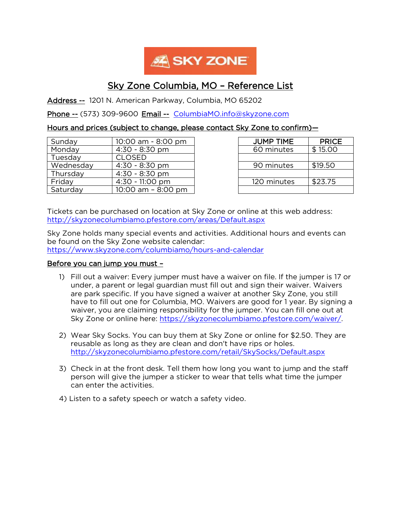

# Sky Zone Columbia, MO – Reference List

Address -- 1201 N. American Parkway, Columbia, MO 65202

Phone -- (573) 309-9600 Email -- [ColumbiaMO.info@skyzone.com](mailto:ColumbiaMO.info@skyzone.com)

## Hours and prices (subject to change, please contact Sky Zone to confirm)—

| Sunday    | 10:00 am - 8:00 pm    | <b>JUMP TIME</b> | <b>PRICE</b> |
|-----------|-----------------------|------------------|--------------|
| Monday    | $4:30 - 8:30$ pm      | 60 minutes       | \$15.00      |
| Tuesday   | <b>CLOSED</b>         |                  |              |
| Wednesday | $4:30 - 8:30$ pm      | 90 minutes       | \$19.50      |
| Thursday  | $4:30 - 8:30$ pm      |                  |              |
| Friday    | $4:30 - 11:00$ pm     | 120 minutes      | \$23.75      |
| Saturday  | $10:00$ am $-8:00$ pm |                  |              |

| <b>JUMP TIME</b> | <b>PRICE</b> |
|------------------|--------------|
| 60 minutes       | \$15.00      |
|                  |              |
| 90 minutes       | \$19.50      |
|                  |              |
| 120 minutes      | \$23.75      |
|                  |              |

Tickets can be purchased on location at Sky Zone or online at this web address: <http://skyzonecolumbiamo.pfestore.com/areas/Default.aspx>

Sky Zone holds many special events and activities. Additional hours and events can be found on the Sky Zone website calendar: <https://www.skyzone.com/columbiamo/hours-and-calendar>

#### Before you can jump you must –

- 1) Fill out a waiver: Every jumper must have a waiver on file. If the jumper is 17 or under, a parent or legal guardian must fill out and sign their waiver. Waivers are park specific. If you have signed a waiver at another Sky Zone, you still have to fill out one for Columbia, MO. Waivers are good for 1 year. By signing a waiver, you are claiming responsibility for the jumper. You can fill one out at Sky Zone or online here: [https://skyzonecolumbiamo.pfestore.com/waiver/.](https://skyzonecolumbiamo.pfestore.com/waiver/)
- 2) Wear Sky Socks. You can buy them at Sky Zone or online for \$2.50. They are reusable as long as they are clean and don't have rips or holes. <http://skyzonecolumbiamo.pfestore.com/retail/SkySocks/Default.aspx>
- 3) Check in at the front desk. Tell them how long you want to jump and the staff person will give the jumper a sticker to wear that tells what time the jumper can enter the activities.
- 4) Listen to a safety speech or watch a safety video.